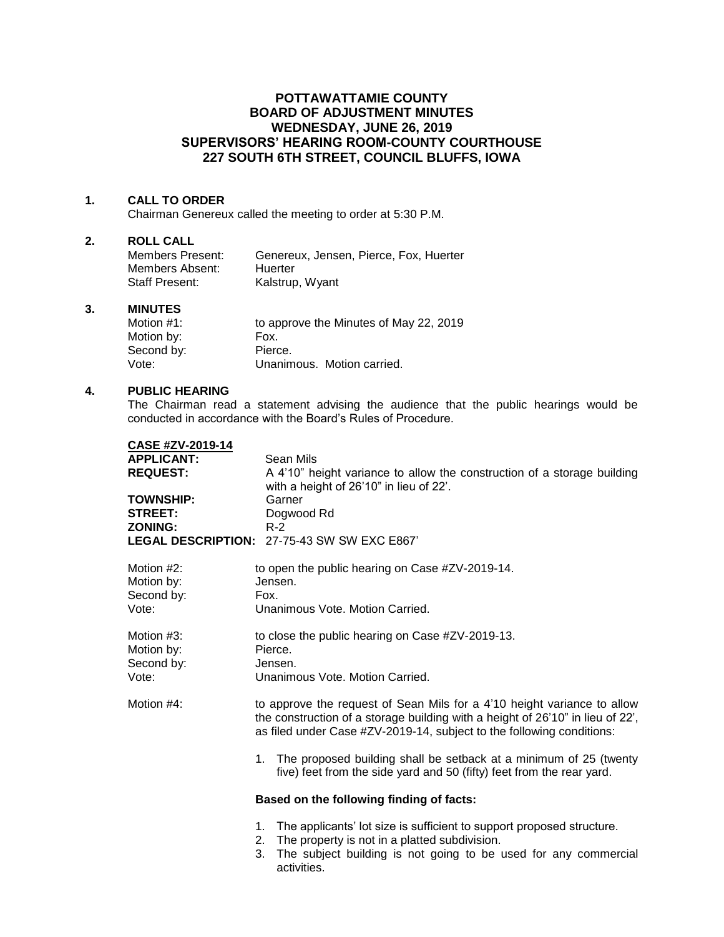# **POTTAWATTAMIE COUNTY BOARD OF ADJUSTMENT MINUTES WEDNESDAY, JUNE 26, 2019 SUPERVISORS' HEARING ROOM-COUNTY COURTHOUSE 227 SOUTH 6TH STREET, COUNCIL BLUFFS, IOWA**

### **1. CALL TO ORDER**

Chairman Genereux called the meeting to order at 5:30 P.M.

### **2. ROLL CALL**

| Members Present: | Genereux, Jensen, Pierce, Fox, Huerter |
|------------------|----------------------------------------|
| Members Absent:  | Huerter                                |
| Staff Present:   | Kalstrup, Wyant                        |

#### **3. MINUTES**

| Motion $#1$ : | to approve the Minutes of May 22, 2019 |
|---------------|----------------------------------------|
| Motion by:    | Fox.                                   |
| Second by:    | Pierce.                                |
| Vote:         | Unanimous. Motion carried.             |

activities.

# **4. PUBLIC HEARING**

The Chairman read a statement advising the audience that the public hearings would be conducted in accordance with the Board's Rules of Procedure.

| <b>CASE #ZV-2019-14</b><br><b>APPLICANT:</b><br><b>REQUEST:</b><br><b>TOWNSHIP:</b><br><b>STREET:</b><br><b>ZONING:</b> | Sean Mils<br>A 4'10" height variance to allow the construction of a storage building<br>with a height of 26'10" in lieu of 22'.<br>Garner<br>Dogwood Rd<br>$R-2$<br>LEGAL DESCRIPTION: 27-75-43 SW SW EXC E867'                    |  |
|-------------------------------------------------------------------------------------------------------------------------|------------------------------------------------------------------------------------------------------------------------------------------------------------------------------------------------------------------------------------|--|
| Motion #2:<br>Motion by:<br>Second by:<br>Vote:                                                                         | to open the public hearing on Case #ZV-2019-14.<br>Jensen.<br>Fox.<br>Unanimous Vote, Motion Carried.                                                                                                                              |  |
| Motion #3:<br>Motion by:<br>Second by:<br>Vote:                                                                         | to close the public hearing on Case #ZV-2019-13.<br>Pierce.<br>Jensen.<br>Unanimous Vote. Motion Carried.                                                                                                                          |  |
| Motion #4:                                                                                                              | to approve the request of Sean Mils for a 4'10 height variance to allow<br>the construction of a storage building with a height of 26'10" in lieu of 22',<br>as filed under Case #ZV-2019-14, subject to the following conditions: |  |
|                                                                                                                         | 1. The proposed building shall be setback at a minimum of 25 (twenty<br>five) feet from the side yard and 50 (fifty) feet from the rear yard.                                                                                      |  |
| Based on the following finding of facts:                                                                                |                                                                                                                                                                                                                                    |  |
|                                                                                                                         | 1. The applicants' lot size is sufficient to support proposed structure.<br>The property is not in a platted subdivision.<br>2.<br>The subject building is not going to be used for any commercial<br>3.                           |  |